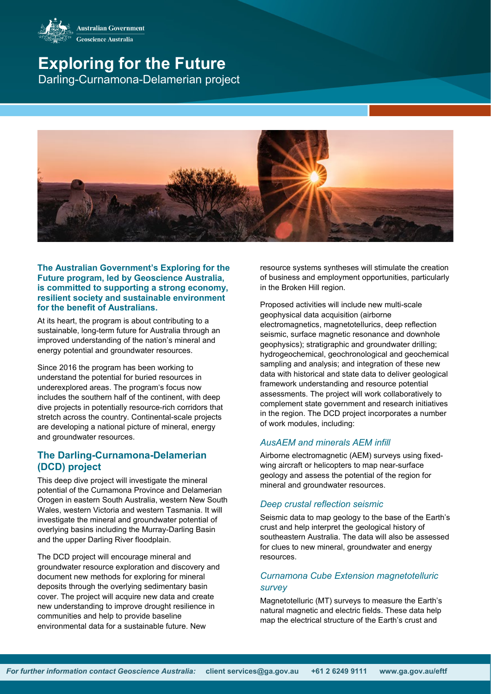

# **Exploring for the Future** Darling-Curnamona-Delamerian project



#### **The Australian Government's Exploring for the Future program, led by Geoscience Australia, is committed to supporting a strong economy, resilient society and sustainable environment for the benefit of Australians.**

At its heart, the program is about contributing to a sustainable, long-term future for Australia through an improved understanding of the nation's mineral and energy potential and groundwater resources.

Since 2016 the program has been working to understand the potential for buried resources in underexplored areas. The program's focus now includes the southern half of the continent, with deep dive projects in potentially resource-rich corridors that stretch across the country. Continental-scale projects are developing a national picture of mineral, energy and groundwater resources.

## **The Darling-Curnamona-Delamerian (DCD) project**

This deep dive project will investigate the mineral potential of the Curnamona Province and Delamerian Orogen in eastern South Australia, western New South Wales, western Victoria and western Tasmania. It will investigate the mineral and groundwater potential of overlying basins including the Murray-Darling Basin and the upper Darling River floodplain.

The DCD project will encourage mineral and groundwater resource exploration and discovery and document new methods for exploring for mineral deposits through the overlying sedimentary basin cover. The project will acquire new data and create new understanding to improve drought resilience in communities and help to provide baseline environmental data for a sustainable future. New

resource systems syntheses will stimulate the creation of business and employment opportunities, particularly in the Broken Hill region.

Proposed activities will include new multi-scale geophysical data acquisition (airborne electromagnetics, magnetotellurics, deep reflection seismic, surface magnetic resonance and downhole geophysics); stratigraphic and groundwater drilling; hydrogeochemical, geochronological and geochemical sampling and analysis; and integration of these new data with historical and state data to deliver geological framework understanding and resource potential assessments. The project will work collaboratively to complement state government and research initiatives in the region. The DCD project incorporates a number of work modules, including:

## *AusAEM and minerals AEM infill*

Airborne electromagnetic (AEM) surveys using fixedwing aircraft or helicopters to map near-surface geology and assess the potential of the region for mineral and groundwater resources.

#### *Deep crustal reflection seismic*

Seismic data to map geology to the base of the Earth's crust and help interpret the geological history of southeastern Australia. The data will also be assessed for clues to new mineral, groundwater and energy resources.

## *Curnamona Cube Extension magnetotelluric survey*

Magnetotelluric (MT) surveys to measure the Earth's natural magnetic and electric fields. These data help map the electrical structure of the Earth's crust and